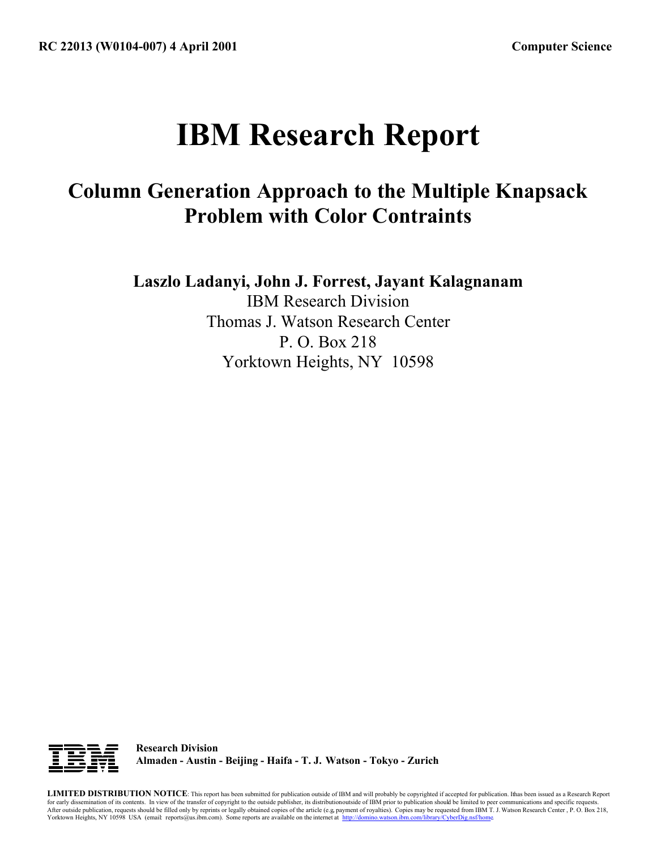# **IBM Research Report**

## **Column Generation Approach to the Multiple Knapsack Problem with Color Contraints**

**Laszlo Ladanyi, John J. Forrest, Jayant Kalagnanam**

IBM Research Division Thomas J. Watson Research Center P. O. Box 218 Yorktown Heights, NY 10598



**Research Division Almaden - Austin - Beijing - Haifa - T. J. Watson - Tokyo - Zurich**

**LIMITED DISTRIBUTION NOTICE**: This report has been submitted for publication outside of IBM and will probably be copyrighted if accepted for publication. Ithas been issued as a Research Report for early dissemination of its contents. In view of the transfer of copyright to the outside publisher, its distributionoutside of IBM prior to publication should be limited to peer communications and specific requests.<br>Af Yorktown Heights, NY 10598 USA (email: reports@us.ibm.com). Some reports are available on the internet at http://domino.watson.ibm.com/library/CyberDig.nsf/home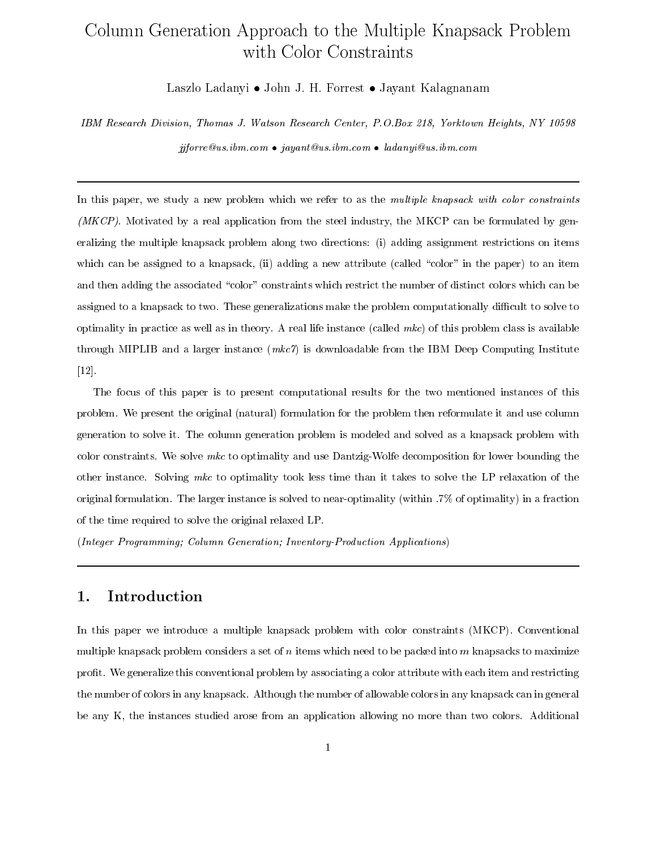### Column Generation Approach to the Multiple Knapsack Problem with Color Constraints

Laszlo Ladanyi • John J. H. Forrest • Javant Kalagnanam

IBM Research Division, Thomas J. Watson Research Center, P.O.Box 218, Yorktown Heights, NY 10598  $ijforce@us.jbm.com$  •  $jayant@us.jbm.com$  •  $ladanyi@us.jbm.com$ 

In this paper, we study a new problem which we refer to as the multiple knapsack with color constraints *(MKCP)*. Motivated by a real application from the steel industry, the MKCP can be formulated by generalizing the multiple knapsack problem along two directions: (i) adding assignment restrictions on items which can be assigned to a knapsack, (ii) adding a new attribute (called "color" in the paper) to an item and then adding the associated "color" constraints which restrict the number of distinct colors which can be assigned to a knapsack to two. These generalizations make the problem computationally difficult to solve to optimality in practice as well as in theory. A real life instance (called  $mkc$ ) of this problem class is available through MIPLIB and a larger instance  $(mkc\gamma)$  is downloadable from the IBM Deep Computing Institute  $[12]$ .

The focus of this paper is to present computational results for the two mentioned instances of this problem. We present the original (natural) formulation for the problem then reformulate it and use column generation to solve it. The column generation problem is modeled and solved as a knapsack problem with color constraints. We solve  $mkc$  to optimality and use Dantzig-Wolfe decomposition for lower bounding the other instance. Solving mkc to optimality took less time than it takes to solve the LP relaxation of the original formulation. The larger instance is solved to near-optimality (within .7% of optimality) in a fraction of the time required to solve the original relaxed LP.

(Integer Programming; Column Generation; Inventory-Production Applications)

#### Introduction 1.

In this paper we introduce a multiple knapsack problem with color constraints (MKCP). Conventional multiple knapsack problem considers a set of n items which need to be packed into  $m$  knapsacks to maximize profit. We generalize this conventional problem by associating a color attribute with each item and restricting the number of colors in any knapsack. Although the number of allowable colors in any knapsack can in general be any K, the instances studied arose from an application allowing no more than two colors. Additional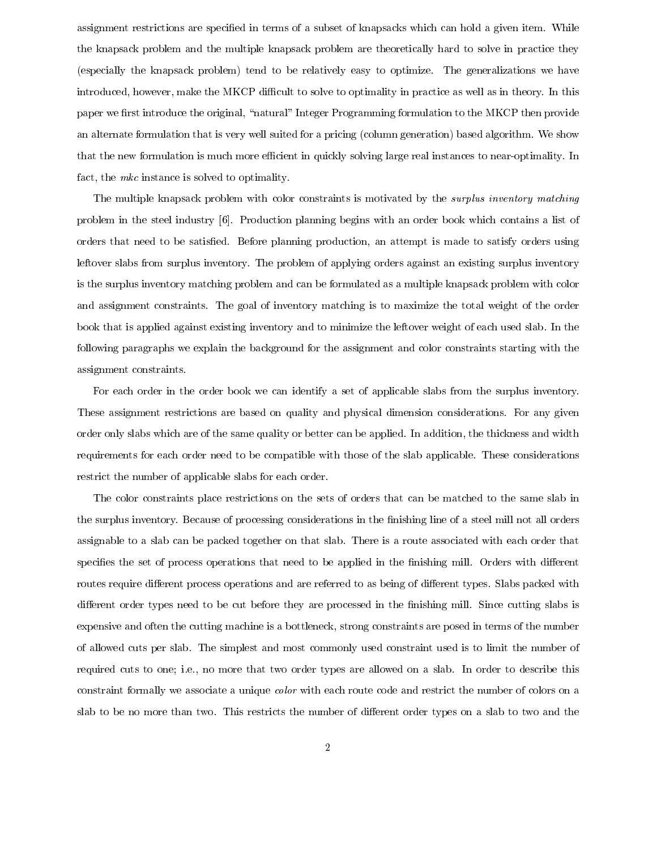assignment restrictions are specified in terms of a subset of knapsacks which can hold a given item. While the knapsack problem and the multiple knapsack problem are theoretically hard to solve in practice they (especially the knapsack problem) tend to be relatively easy to optimize. The generalizations we have introduced, however, make the MKCP difficult to solve to optimality in practice as well as in theory. In this paper we first introduce the original, "natural" Integer Programming formulation to the MKCP then provide an alternate formulation that is very well suited for a pricing (column generation) based algorithm. We show that the new formulation is much more efficient in quickly solving large real instances to near-optimality. In fact, the  $mkc$  instance is solved to optimality.

The multiple knapsack problem with color constraints is motivated by the *surplus inventory matching* problem in the steel industry [6]. Production planning begins with an order book which contains a list of orders that need to be satisfied. Before planning production, an attempt is made to satisfy orders using leftover slabs from surplus inventory. The problem of applying orders against an existing surplus inventory is the surplus inventory matching problem and can be formulated as a multiple knapsack problem with color and assignment constraints. The goal of inventory matching is to maximize the total weight of the order book that is applied against existing inventory and to minimize the leftover weight of each used slab. In the following paragraphs we explain the background for the assignment and color constraints starting with the assignment constraints.

For each order in the order book we can identify a set of applicable slabs from the surplus inventory. These assignment restrictions are based on quality and physical dimension considerations. For any given order only slabs which are of the same quality or better can be applied. In addition, the thickness and width requirements for each order need to be compatible with those of the slab applicable. These considerations restrict the number of applicable slabs for each order.

The color constraints place restrictions on the sets of orders that can be matched to the same slab in the surplus inventory. Because of processing considerations in the finishing line of a steel mill not all orders assignable to a slab can be packed together on that slab. There is a route associated with each order that specifies the set of process operations that need to be applied in the finishing mill. Orders with different routes require different process operations and are referred to as being of different types. Slabs packed with different order types need to be cut before they are processed in the finishing mill. Since cutting slabs is expensive and often the cutting machine is a bottleneck, strong constraints are posed in terms of the number of allowed cuts per slab. The simplest and most commonly used constraint used is to limit the number of required cuts to one; i.e., no more that two order types are allowed on a slab. In order to describe this constraint formally we associate a unique *color* with each route code and restrict the number of colors on a slab to be no more than two. This restricts the number of different order types on a slab to two and the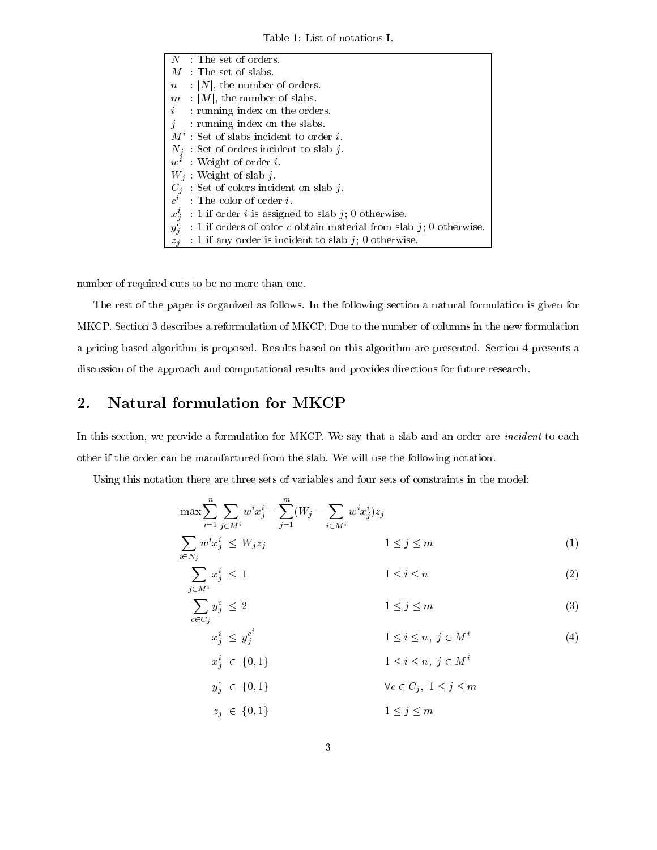Table 1: List of notations I.

| $N$ : The set of orders.                                                           |
|------------------------------------------------------------------------------------|
| $M$ : The set of slabs.                                                            |
| $\therefore$  N , the number of orders.<br>$\, n \,$                               |
| $m$ :  M , the number of slabs.                                                    |
| $i$ running index on the orders.                                                   |
| $j$ : running index on the slabs.                                                  |
| $M^i$ : Set of slabs incident to order i.                                          |
| $N_i$ : Set of orders incident to slab j.                                          |
| $w^i$ : Weight of order i.                                                         |
| $W_i$ : Weight of slab j.                                                          |
| $C_i$ Set of colors incident on slab j.                                            |
| $c^i$ : The color of order i.                                                      |
| $x_i^i$ : 1 if order <i>i</i> is assigned to slab <i>j</i> ; 0 otherwise.          |
| $y_i^c$<br>: 1 if orders of color $c$ obtain material from slab $j$ ; 0 otherwise. |
| $z_i$ : 1 if any order is incident to slab j; 0 otherwise.                         |

number of required cuts to be no more than one.

The rest of the paper is organized as follows. In the following section a natural formulation is given for MKCP. Section 3 describes a reformulation of MKCP. Due to the number of columns in the new formulation a pricing based algorithm is proposed. Results based on this algorithm are presented. Section 4 presents a discussion of the approach and computational results and provides directions for future research.

#### Natural formulation for MKCP  $2.$

In this section, we provide a formulation for MKCP. We say that a slab and an order are *incident* to each other if the order can be manufactured from the slab. We will use the following notation.

Using this notation there are three sets of variables and four sets of constraints in the model:

$$
\max \sum_{i=1}^{n} \sum_{j \in M^{i}} w^{i} x_{j}^{i} - \sum_{j=1}^{m} (W_{j} - \sum_{i \in M^{i}} w^{i} x_{j}^{i}) z_{j}
$$
\n
$$
\sum_{i \in N_{i}} w^{i} x_{j}^{i} \leq W_{j} z_{j} \qquad 1 \leq j \leq m
$$
\n(1)

$$
\sum_{j \in M^i} x_j^i \le 1 \qquad \qquad 1 \le i \le n \tag{2}
$$

$$
\sum_{c \in C_j} y_j^c \le 2 \qquad \qquad 1 \le j \le m \tag{3}
$$

$$
i \le y_j^{c^*} \qquad \qquad 1 \le i \le n, \ j \in M^i \qquad \qquad (4)
$$

$$
x_j^c \in \{0, 1\}
$$
  
\n
$$
1 \le i \le n, \ j \in M'
$$
  
\n
$$
\forall c \in C_j, \ 1 \le j \le m
$$

 $z_j \in \{0,1\}$  $1\leq j\leq m$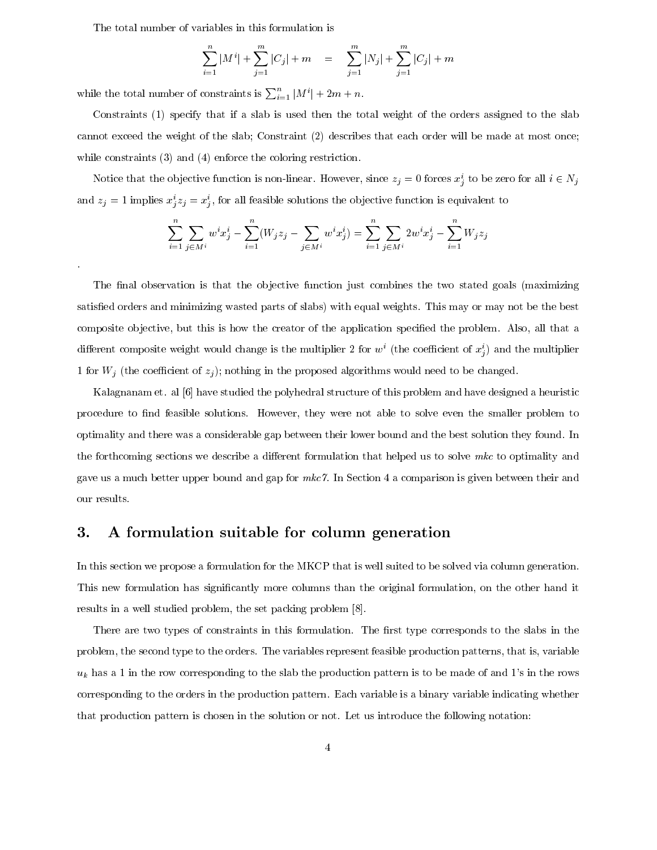The total number of variables in this formulation is

$$
\sum_{i=1}^{n} |M^{i}| + \sum_{j=1}^{m} |C_{j}| + m = \sum_{j=1}^{m} |N_{j}| + \sum_{j=1}^{m} |C_{j}| + m
$$

while the total number of constraints is  $\sum_{i=1}^{n} |M^{i}| + 2m + n$ .

Constraints (1) specify that if a slab is used then the total weight of the orders assigned to the slab cannot exceed the weight of the slab; Constraint (2) describes that each order will be made at most once while constraints  $(3)$  and  $(4)$  enforce the coloring restriction.

Notice that the objective function is non-linear. However, since  $z_j = 0$  forces  $x_j^i$  to be zero for all  $i \in N_j$ and  $z_j = 1$  implies  $x_j^i z_j = x_j^i$ , for all feasible solutions the objective function is equivalent to

$$
\sum_{i=1}^{n} \sum_{j \in M^{i}} w^{i} x_{j}^{i} - \sum_{i=1}^{n} (W_{j} z_{j} - \sum_{j \in M^{i}} w^{i} x_{j}^{i}) = \sum_{i=1}^{n} \sum_{j \in M^{i}} 2w^{i} x_{j}^{i} - \sum_{i=1}^{n} W_{j} z_{j}
$$

The final observation is that the objective function just combines the two stated goals (maximizing satisfied orders and minimizing wasted parts of slabs) with equal weights. This may or may not be the best composite objective, but this is how the creator of the application specified the problem. Also, all that a different composite weight would change is the multiplier 2 for  $w^i$  (the coefficient of  $x^i_j$ ) and the multiplier 1 for  $W_j$  (the coefficient of  $z_j$ ); nothing in the proposed algorithms would need to be changed.

Kalagnanam et. al [6] have studied the polyhedral structure of this problem and have designed a heuristic procedure to find feasible solutions. However, they were not able to solve even the smaller problem to optimality and there was a considerable gap between their lower bound and the best solution they found. In the forthcoming sections we describe a different formulation that helped us to solve  $mkc$  to optimality and gave us a much better upper bound and gap for  $mkc$ . In Section 4 a comparison is given between their and our results.

#### A formulation suitable for column generation 3.

In this section we propose a formulation for the MKCP that is well suited to be solved via column generation. This new formulation has significantly more columns than the original formulation, on the other hand it results in a well studied problem, the set packing problem [8].

There are two types of constraints in this formulation. The first type corresponds to the slabs in the problem, the second type to the orders. The variables represent feasible production patterns, that is, variable  $u_k$  has a 1 in the row corresponding to the slab the production pattern is to be made of and 1's in the rows corresponding to the orders in the production pattern. Each variable is a binary variable indicating whether that production pattern is chosen in the solution or not. Let us introduce the following notation: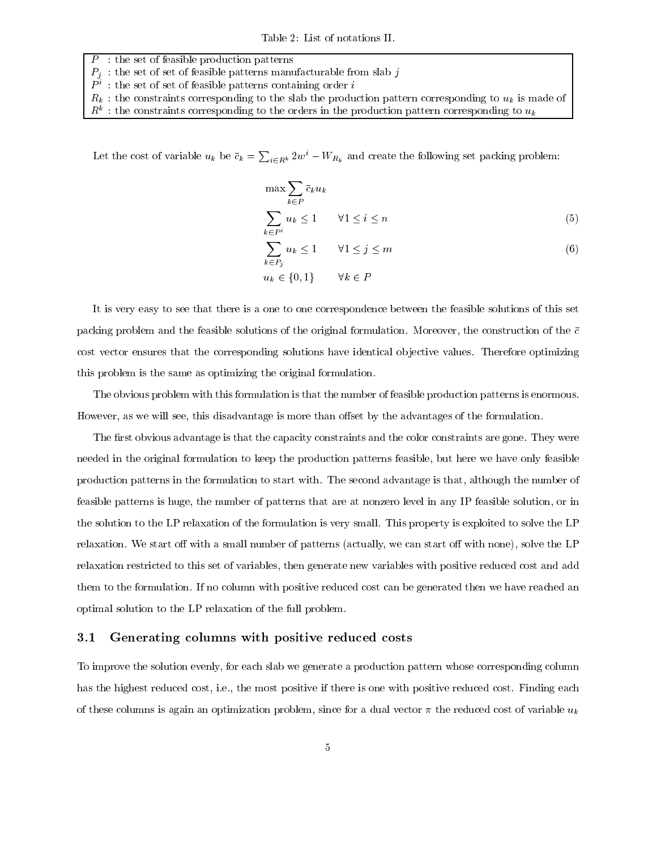Table 2: List of notations II.

- : the set of feasible production patterns
- $P_j\;$  : the set of set of feasible patterns manufacturable from slab  $j$   $P^i\;$  : the set of set of feasible patterns containing order  $i$
- 
- $R_k$ : the constraints corresponding to the slab the production pattern corresponding to  $u_k$  is made of
- $R^k$ : the constraints corresponding to the orders in the production pattern corresponding to  $u_k$

Let the cost of variable  $u_k$  be  $\bar{c}_k = \sum_{i \in R^k} 2w^i - W_{R_k}$  and create the following set packing problem:

$$
\max \sum_{k \in P} \bar{c}_k u_k
$$
  

$$
\sum_{k \in P^i} u_k \le 1 \qquad \forall 1 \le i \le n
$$
 (5)

$$
\sum_{k \in P_j} u_k \le 1 \qquad \forall 1 \le j \le m
$$
  
\n
$$
u_k \in \{0, 1\} \qquad \forall k \in P
$$
 (6)

It is very easy to see that there is a one to one correspondence between the feasible solutions of this set packing problem and the feasible solutions of the original formulation. Moreover, the construction of the  $\bar{c}$ cost vector ensures that the corresponding solutions have identical objective values. Therefore optimizing this problem is the same as optimizing the original formulation.

The obvious problem with this formulation is that the number of feasible production patterns is enormous. However, as we will see, this disadvantage is more than offset by the advantages of the formulation.

The first obvious advantage is that the capacity constraints and the color constraints are gone. They were needed in the original formulation to keep the production patterns feasible, but here we have only feasible production patterns in the formulation to start with. The second advantage is that, although the number of feasible patterns is huge, the number of patterns that are at nonzero level in any IP feasible solution, or in the solution to the LP relaxation of the formulation is very small. This property is exploited to solve the LP relaxation. We start off with a small number of patterns (actually, we can start off with none), solve the LP relaxation restricted to this set of variables, then generate new variables with positive reduced cost and add them to the formulation. If no column with positive reduced cost can be generated then we have reached an optimal solution to the LP relaxation of the full problem.

#### Generating columns with positive reduced costs  $3.1$

To improve the solution evenly, for each slab we generate a production pattern whose corresponding column has the highest reduced cost, i.e., the most positive if there is one with positive reduced cost. Finding each of these columns is again an optimization problem, since for a dual vector  $\pi$  the reduced cost of variable  $u_k$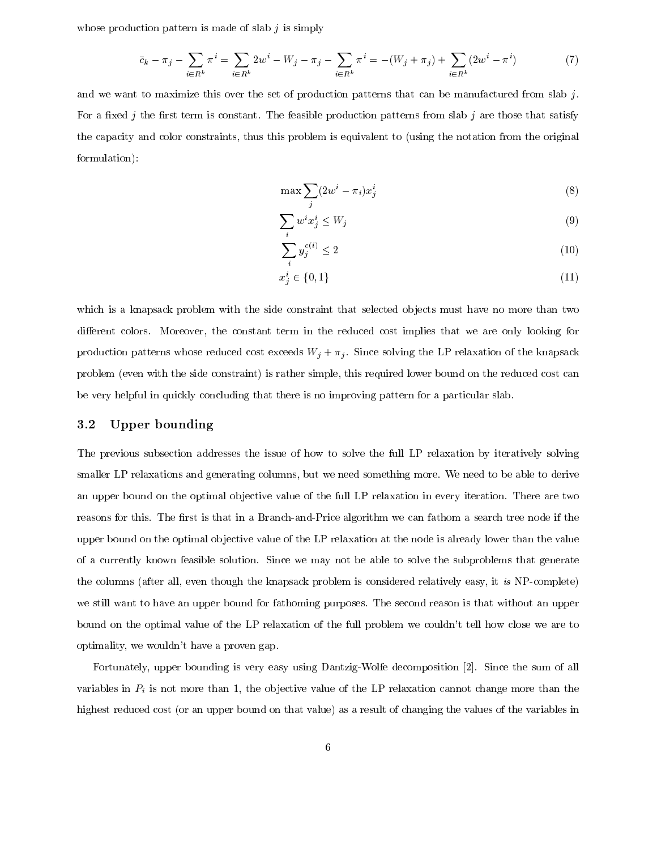whose production pattern is made of slab  $j$  is simply

$$
\bar{c}_k - \pi_j - \sum_{i \in R^k} \pi^i = \sum_{i \in R^k} 2w^i - W_j - \pi_j - \sum_{i \in R^k} \pi^i = -(W_j + \pi_j) + \sum_{i \in R^k} (2w^i - \pi^i) \tag{7}
$$

and we want to maximize this over the set of production patterns that can be manufactured from slab  $j$ . For a fixed j the first term is constant. The feasible production patterns from slab j are those that satisfy the capacity and color constraints, thus this problem is equivalent to (using the notation from the original formulation):

$$
\max \sum_{i} (2w^i - \pi_i)x_j^i \tag{8}
$$

$$
\sum_{i} w^{i} x_{j}^{i} \le W_{j} \tag{9}
$$

$$
\sum_{i} y_j^{c(i)} \le 2\tag{10}
$$

$$
x_j^i \in \{0, 1\} \tag{11}
$$

which is a knapsack problem with the side constraint that selected objects must have no more than two different colors. Moreover, the constant term in the reduced cost implies that we are only looking for production patterns whose reduced cost exceeds  $W_j + \pi_j$ . Since solving the LP relaxation of the knapsack problem (even with the side constraint) is rather simple, this required lower bound on the reduced cost can be very helpful in quickly concluding that there is no improving pattern for a particular slab.

#### 3.2 Upper bounding

The previous subsection addresses the issue of how to solve the full LP relaxation by iteratively solving smaller LP relaxations and generating columns, but we need something more. We need to be able to derive an upper bound on the optimal objective value of the full LP relaxation in every iteration. There are two reasons for this. The first is that in a Branch-and-Price algorithm we can fathom a search tree node if the upper bound on the optimal objective value of the LP relaxation at the node is already lower than the value of a currently known feasible solution. Since we may not be able to solve the subproblems that generate the columns (after all, even though the knapsack problem is considered relatively easy, it is NP-complete) we still want to have an upper bound for fathoming purposes. The second reason is that without an upper bound on the optimal value of the LP relaxation of the full problem we couldn't tell how close we are to optimality, we wouldn't have a proven gap.

Fortunately, upper bounding is very easy using Dantzig-Wolfe decomposition [2]. Since the sum of all variables in  $P_i$  is not more than 1, the objective value of the LP relaxation cannot change more than the highest reduced cost (or an upper bound on that value) as a result of changing the values of the variables in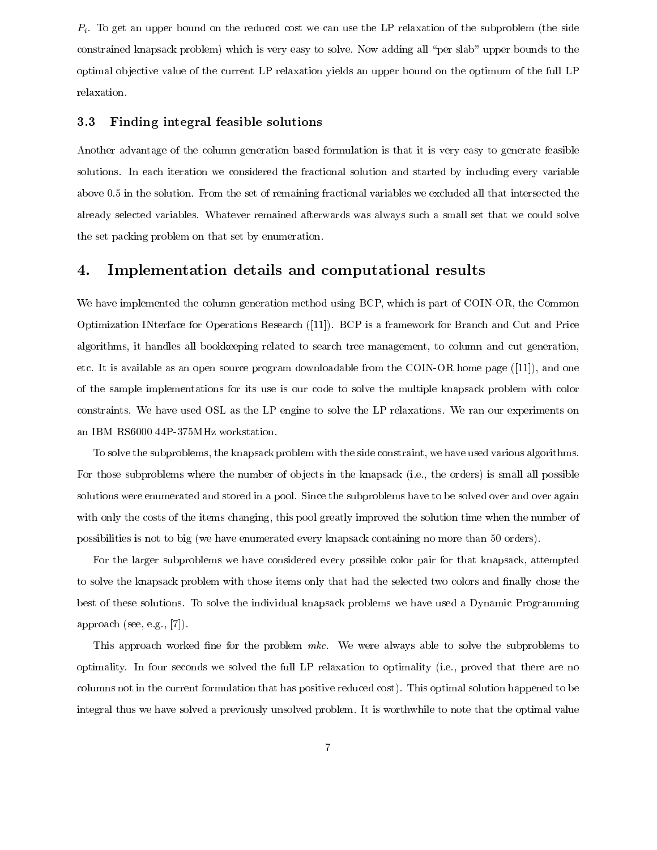$P_i$ . To get an upper bound on the reduced cost we can use the LP relaxation of the subproblem (the side constrained knapsack problem) which is very easy to solve. Now adding all "per slab" upper bounds to the optimal objective value of the current LP relaxation yields an upper bound on the optimum of the full LP relaxation.

#### Finding integral feasible solutions 3.3

Another advantage of the column generation based formulation is that it is very easy to generate feasible solutions. In each iteration we considered the fractional solution and started by including every variable above 0.5 in the solution. From the set of remaining fractional variables we excluded all that intersected the already selected variables. Whatever remained afterwards was always such a small set that we could solve the set packing problem on that set by enumeration.

#### Implementation details and computational results 4.

We have implemented the column generation method using BCP, which is part of COIN-OR, the Common Optimization INterface for Operations Research ([11]). BCP is a framework for Branch and Cut and Price algorithms, it handles all bookkeeping related to search tree management, to column and cut generation, etc. It is available as an open source program downloadable from the COIN-OR home page  $([11])$ , and one of the sample implementations for its use is our code to solve the multiple knapsack problem with color constraints. We have used OSL as the LP engine to solve the LP relaxations. We ran our experiments on an IBM RS6000 44P-375MHz workstation.

To solve the subproblems, the knapsack problem with the side constraint, we have used various algorithms. For those subproblems where the number of objects in the knapsack (i.e., the orders) is small all possible solutions were enumerated and stored in a pool. Since the subproblems have to be solved over and over again with only the costs of the items changing, this pool greatly improved the solution time when the number of possibilities is not to big (we have enumerated every knapsack containing no more than 50 orders).

For the larger subproblems we have considered every possible color pair for that knapsack, attempted to solve the knapsack problem with those items only that had the selected two colors and finally chose the best of these solutions. To solve the individual knapsack problems we have used a Dynamic Programming approach (see, e.g.,  $[7]$ ).

This approach worked fine for the problem mkc. We were always able to solve the subproblems to optimality. In four seconds we solved the full LP relaxation to optimality (i.e., proved that there are no columns not in the current formulation that has positive reduced cost). This optimal solution happened to be integral thus we have solved a previously unsolved problem. It is worthwhile to note that the optimal value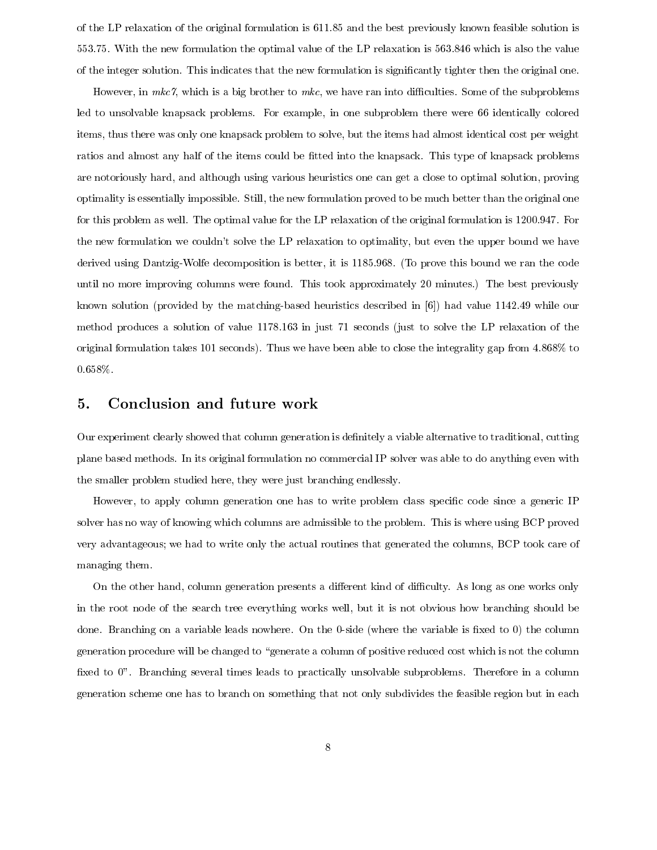of the LP relaxation of the original formulation is 611.85 and the best previously known feasible solution is 553.75. With the new formulation the optimal value of the LP relaxation is 563.846 which is also the value of the integer solution. This indicates that the new formulation is significantly tighter then the original one.

However, in  $mkc$ , which is a big brother to  $mkc$ , we have ran into difficulties. Some of the subproblems led to unsolvable knapsack problems. For example, in one subproblem there were 66 identically colored items, thus there was only one knapsack problem to solve, but the items had almost identical cost per weight ratios and almost any half of the items could be fitted into the knapsack. This type of knapsack problems are notoriously hard, and although using various heuristics one can get a close to optimal solution, proving optimality is essentially impossible. Still, the new formulation proved to be much better than the original one for this problem as well. The optimal value for the LP relaxation of the original formulation is 1200.947. For the new formulation we couldn't solve the LP relaxation to optimality, but even the upper bound we have derived using Dantzig-Wolfe decomposition is better, it is 1185.968. (To prove this bound we ran the code until no more improving columns were found. This took approximately 20 minutes.) The best previously known solution (provided by the matching-based heuristics described in  $[6]$ ) had value 1142.49 while our method produces a solution of value 1178.163 in just 71 seconds (just to solve the LP relaxation of the original formulation takes 101 seconds). Thus we have been able to close the integrality gap from 4.868% to  $0.658\%$ 

#### Conclusion and future work 5.

Our experiment clearly showed that column generation is definitely a viable alternative to traditional, cutting plane based methods. In its original formulation no commercial IP solver was able to do anything even with the smaller problem studied here, they were just branching endlessly.

However, to apply column generation one has to write problem class specific code since a generic IP solver has no way of knowing which columns are admissible to the problem. This is where using BCP proved very advantageous; we had to write only the actual routines that generated the columns, BCP took care of managing them.

On the other hand, column generation presents a different kind of difficulty. As long as one works only in the root node of the search tree everything works well, but it is not obvious how branching should be done. Branching on a variable leads nowhere. On the 0-side (where the variable is fixed to 0) the column generation procedure will be changed to "generate a column of positive reduced cost which is not the column fixed to 0". Branching several times leads to practically unsolvable subproblems. Therefore in a column generation scheme one has to branch on something that not only subdivides the feasible region but in each